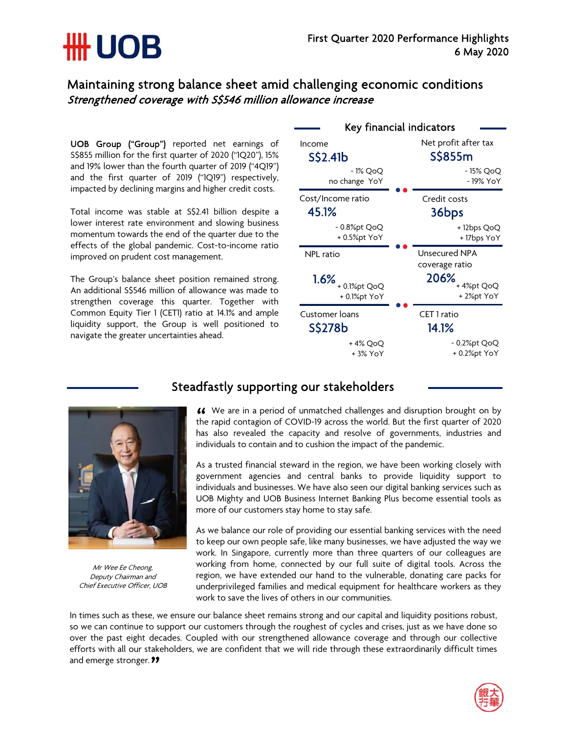# **\HH UOB**

### Maintaining strong balance sheet amid challenging economic conditions Strengthened coverage with S\$546 million allowance increase

UOB Group ("Group") reported net earnings of S\$855 million for the first quarter of 2020 ("1Q20"), 15% and 19% lower than the fourth quarter of 2019 ("4Q19") and the first quarter of 2019 ("1Q19") respectively, impacted by declining margins and higher credit costs.

Total income was stable at S\$2.41 billion despite a lower interest rate environment and slowing business momentum towards the end of the quarter due to the effects of the global pandemic. Cost-to-income ratio improved on prudent cost management.

The Group's balance sheet position remained strong. An additional S\$546 million of allowance was made to strengthen coverage this quarter. Together with Common Equity Tier 1 (CET1) ratio at 14.1% and ample liquidity support, the Group is well positioned to navigate the greater uncertainties ahead.





Mr Wee Ee Cheong, Deputy Chairman and Chief Executive Officer, UOB

## Steadfastly supporting our stakeholders

We are in a period of unmatched challenges and disruption brought on by **44** We are in a period of unmatched challenges and disruption brought on by the rapid contagion of COVID-19 across the world. But the first quarter of 2020 has also revealed the capacity and resolve of governments, industries and individuals to contain and to cushion the impact of the pandemic.

As a trusted financial steward in the region, we have been working closely with government agencies and central banks to provide liquidity support to individuals and businesses. We have also seen our digital banking services such as UOB Mighty and UOB Business Internet Banking Plus become essential tools as more of our customers stay home to stay safe.

As we balance our role of providing our essential banking services with the need to keep our own people safe, like many businesses, we have adjusted the way we work. In Singapore, currently more than three quarters of our colleagues are working from home, connected by our full suite of digital tools. Across the region, we have extended our hand to the vulnerable, donating care packs for underprivileged families and medical equipment for healthcare workers as they work to save the lives of others in our communities.

In times such as these, we ensure our balance sheet remains strong and our capital and liquidity positions robust, so we can continue to support our customers through the roughest of cycles and crises, just as we have done so over the past eight decades. Coupled with our strengthened allowance coverage and through our collective efforts with all our stakeholders, we are confident that we will ride through these extraordinarily difficult times and emerge stronger.*11* 

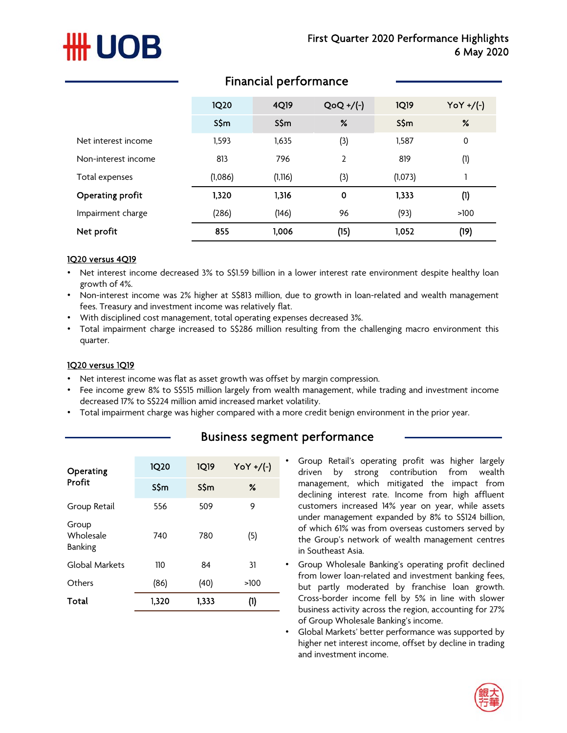# **UOB**

|                     | <b>1Q20</b> | 4Q19     | $QoQ + / (-)$  | <b>1Q19</b> | $\gamma oY + / (-)$ |
|---------------------|-------------|----------|----------------|-------------|---------------------|
|                     | S\$m        | S\$m     | %              | S\$m        | %                   |
| Net interest income | 1,593       | 1,635    | (3)            | 1,587       | $\mathbf 0$         |
| Non-interest income | 813         | 796      | $\overline{2}$ | 819         | (1)                 |
| Total expenses      | (1,086)     | (1, 116) | (3)            | (1,073)     |                     |
| Operating profit    | 1,320       | 1,316    | 0              | 1,333       | (1)                 |
| Impairment charge   | (286)       | (146)    | 96             | (93)        | >100                |
| Net profit          | 855         | 1,006    | (15)           | 1,052       | (19)                |

### Financial performance

#### 1Q20 versus 4Q19

- Net interest income decreased 3% to S\$1.59 billion in a lower interest rate environment despite healthy loan growth of 4%.
- Non-interest income was 2% higher at S\$813 million, due to growth in loan-related and wealth management fees. Treasury and investment income was relatively flat.
- With disciplined cost management, total operating expenses decreased 3%.
- Total impairment charge increased to S\$286 million resulting from the challenging macro environment this quarter.

#### 1Q20 versus 1Q19

- Net interest income was flat as asset growth was offset by margin compression.
- Fee income grew 8% to S\$515 million largely from wealth management, while trading and investment income decreased 17% to S\$224 million amid increased market volatility.
- Total impairment charge was higher compared with a more credit benign environment in the prior year.

| Operating<br>Profit                  | 1020  | 1019  | YoY +/(-) |
|--------------------------------------|-------|-------|-----------|
|                                      | S\$m  | SSm   | ℅         |
| Group Retail                         | 556   | 509   | 9         |
| Group<br>Wholesale<br><b>Banking</b> | 740   | 780   | (5)       |
| Global Markets                       | 110   | 84    | 31        |
| Others                               | (86)  | (40)  | >100      |
| Total                                | 1,320 | 1,333 | (1)       |

## Business segment performance

• Group Retail's operating profit was higher largely driven by strong contribution from wealth management, which mitigated the impact from declining interest rate. Income from high affluent customers increased 14% year on year, while assets under management expanded by 8% to S\$124 billion, of which 61% was from overseas customers served by the Group's network of wealth management centres in Southeast Asia.

- Group Wholesale Banking's operating profit declined from lower loan-related and investment banking fees, but partly moderated by franchise loan growth. Cross-border income fell by 5% in line with slower business activity across the region, accounting for 27% of Group Wholesale Banking's income.
- Global Markets' better performance was supported by higher net interest income, offset by decline in trading and investment income.